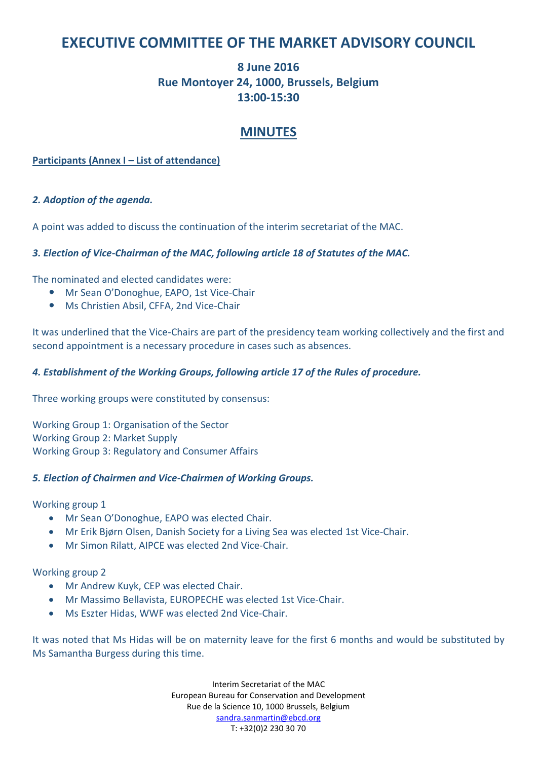## **EXECUTIVE COMMITTEE OF THE MARKET ADVISORY COUNCIL**

## **8 June 2016 Rue Montoyer 24, 1000, Brussels, Belgium 13:00-15:30**

### **MINUTES**

#### **Participants (Annex I – List of attendance)**

#### *2. Adoption of the agenda.*

A point was added to discuss the continuation of the interim secretariat of the MAC.

#### *3. Election of Vice-Chairman of the MAC, following article 18 of Statutes of the MAC.*

The nominated and elected candidates were:

- Mr Sean O'Donoghue, EAPO, 1st Vice-Chair
- Ms Christien Absil, CFFA, 2nd Vice-Chair

It was underlined that the Vice-Chairs are part of the presidency team working collectively and the first and second appointment is a necessary procedure in cases such as absences.

#### *4. Establishment of the Working Groups, following article 17 of the Rules of procedure.*

Three working groups were constituted by consensus:

Working Group 1: Organisation of the Sector Working Group 2: Market Supply Working Group 3: Regulatory and Consumer Affairs

#### *5. Election of Chairmen and Vice-Chairmen of Working Groups.*

Working group 1

- Mr Sean O'Donoghue, EAPO was elected Chair.
- Mr Erik Bjørn Olsen, Danish Society for a Living Sea was elected 1st Vice-Chair.
- Mr Simon Rilatt, AIPCE was elected 2nd Vice-Chair.

Working group 2

- Mr Andrew Kuyk, CEP was elected Chair.
- Mr Massimo Bellavista, EUROPECHE was elected 1st Vice-Chair.
- Ms Eszter Hidas, WWF was elected 2nd Vice-Chair.

It was noted that Ms Hidas will be on maternity leave for the first 6 months and would be substituted by Ms Samantha Burgess during this time.

> Interim Secretariat of the MAC European Bureau for Conservation and Development Rue de la Science 10, 1000 Brussels, Belgium sandra.sanmartin@ebcd.org T: +32(0)2 230 30 70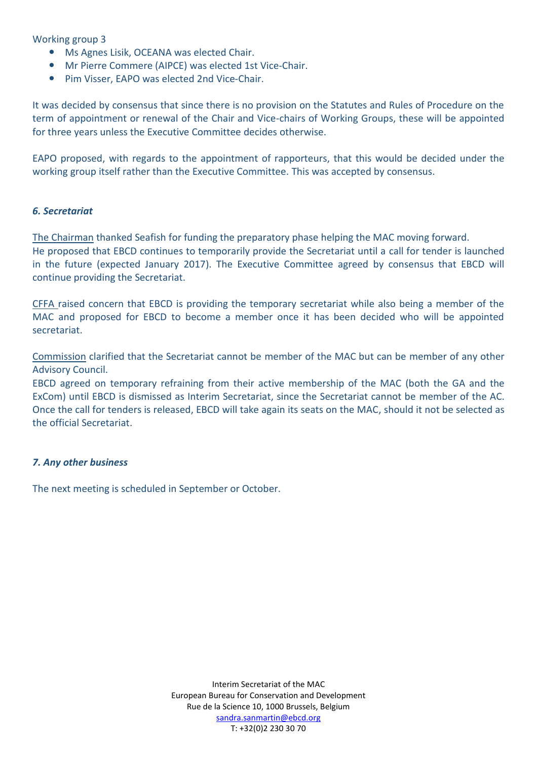Working group 3

- Ms Agnes Lisik, OCEANA was elected Chair.
- Mr Pierre Commere (AIPCE) was elected 1st Vice-Chair.
- Pim Visser, EAPO was elected 2nd Vice-Chair.

It was decided by consensus that since there is no provision on the Statutes and Rules of Procedure on the term of appointment or renewal of the Chair and Vice-chairs of Working Groups, these will be appointed for three years unless the Executive Committee decides otherwise.

EAPO proposed, with regards to the appointment of rapporteurs, that this would be decided under the working group itself rather than the Executive Committee. This was accepted by consensus.

#### *6. Secretariat*

The Chairman thanked Seafish for funding the preparatory phase helping the MAC moving forward. He proposed that EBCD continues to temporarily provide the Secretariat until a call for tender is launched in the future (expected January 2017). The Executive Committee agreed by consensus that EBCD will continue providing the Secretariat.

CFFA raised concern that EBCD is providing the temporary secretariat while also being a member of the MAC and proposed for EBCD to become a member once it has been decided who will be appointed secretariat.

Commission clarified that the Secretariat cannot be member of the MAC but can be member of any other Advisory Council.

EBCD agreed on temporary refraining from their active membership of the MAC (both the GA and the ExCom) until EBCD is dismissed as Interim Secretariat, since the Secretariat cannot be member of the AC. Once the call for tenders is released, EBCD will take again its seats on the MAC, should it not be selected as the official Secretariat.

#### *7. Any other business*

The next meeting is scheduled in September or October.